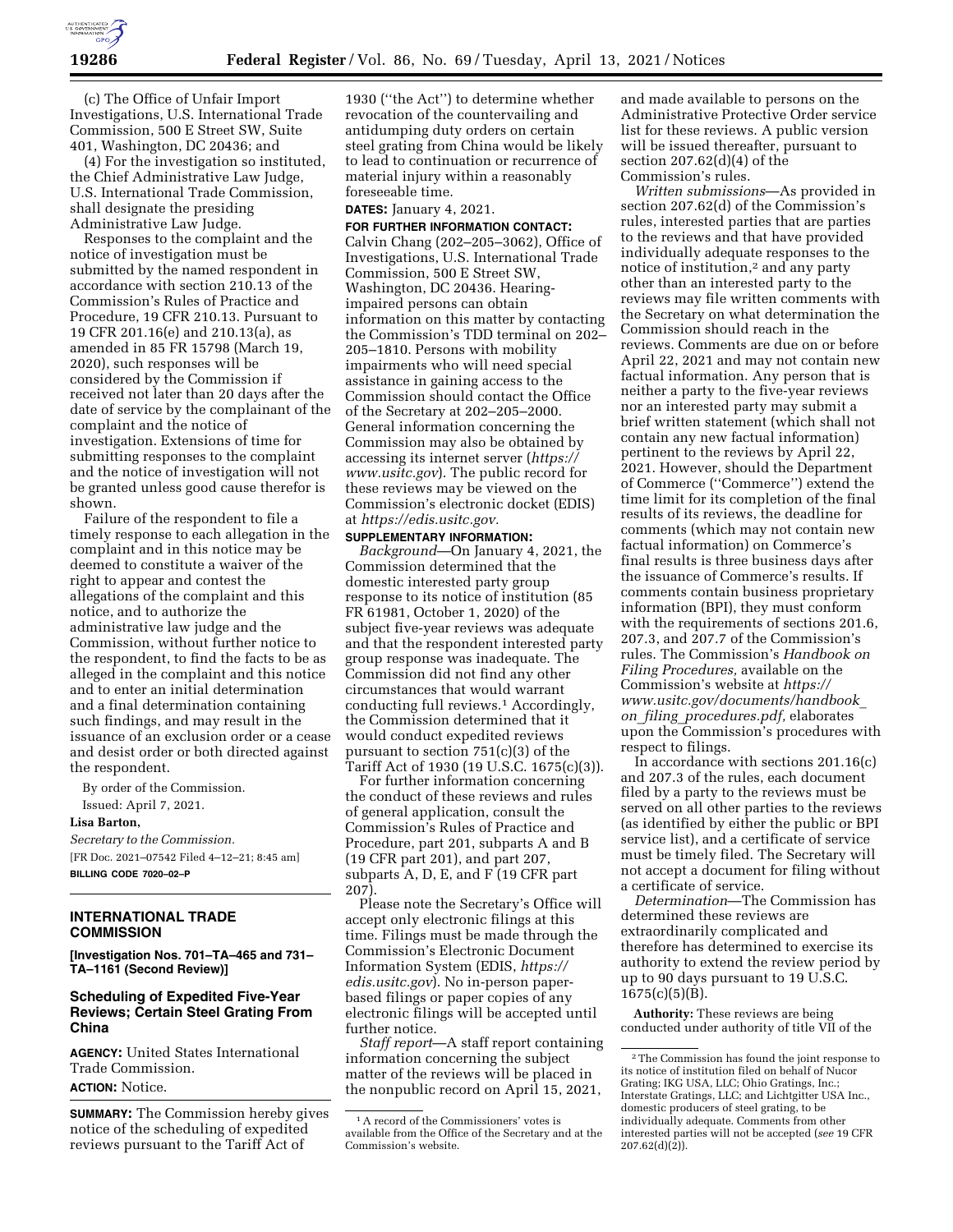

(c) The Office of Unfair Import Investigations, U.S. International Trade Commission, 500 E Street SW, Suite 401, Washington, DC 20436; and

(4) For the investigation so instituted, the Chief Administrative Law Judge, U.S. International Trade Commission, shall designate the presiding Administrative Law Judge.

Responses to the complaint and the notice of investigation must be submitted by the named respondent in accordance with section 210.13 of the Commission's Rules of Practice and Procedure, 19 CFR 210.13. Pursuant to 19 CFR 201.16(e) and 210.13(a), as amended in 85 FR 15798 (March 19, 2020), such responses will be considered by the Commission if received not later than 20 days after the date of service by the complainant of the complaint and the notice of investigation. Extensions of time for submitting responses to the complaint and the notice of investigation will not be granted unless good cause therefor is shown.

Failure of the respondent to file a timely response to each allegation in the complaint and in this notice may be deemed to constitute a waiver of the right to appear and contest the allegations of the complaint and this notice, and to authorize the administrative law judge and the Commission, without further notice to the respondent, to find the facts to be as alleged in the complaint and this notice and to enter an initial determination and a final determination containing such findings, and may result in the issuance of an exclusion order or a cease and desist order or both directed against the respondent.

By order of the Commission. Issued: April 7, 2021.

#### **Lisa Barton,**

*Secretary to the Commission.*  [FR Doc. 2021–07542 Filed 4–12–21; 8:45 am] **BILLING CODE 7020–02–P** 

## **INTERNATIONAL TRADE COMMISSION**

**[Investigation Nos. 701–TA–465 and 731– TA–1161 (Second Review)]** 

### **Scheduling of Expedited Five-Year Reviews; Certain Steel Grating From China**

**AGENCY:** United States International Trade Commission. **ACTION:** Notice.

**SUMMARY:** The Commission hereby gives notice of the scheduling of expedited reviews pursuant to the Tariff Act of

1930 (''the Act'') to determine whether revocation of the countervailing and antidumping duty orders on certain steel grating from China would be likely to lead to continuation or recurrence of material injury within a reasonably foreseeable time.

## **DATES:** January 4, 2021.

**FOR FURTHER INFORMATION CONTACT:**  Calvin Chang (202–205–3062), Office of Investigations, U.S. International Trade Commission, 500 E Street SW, Washington, DC 20436. Hearingimpaired persons can obtain information on this matter by contacting the Commission's TDD terminal on 202– 205–1810. Persons with mobility impairments who will need special assistance in gaining access to the Commission should contact the Office of the Secretary at 202–205–2000. General information concerning the Commission may also be obtained by accessing its internet server (*https:// www.usitc.gov*). The public record for these reviews may be viewed on the Commission's electronic docket (EDIS) at *https://edis.usitc.gov.* 

**SUPPLEMENTARY INFORMATION:**  *Background*—On January 4, 2021, the Commission determined that the domestic interested party group response to its notice of institution (85 FR 61981, October 1, 2020) of the subject five-year reviews was adequate and that the respondent interested party group response was inadequate. The Commission did not find any other circumstances that would warrant conducting full reviews.1 Accordingly, the Commission determined that it would conduct expedited reviews pursuant to section  $751(c)(3)$  of the Tariff Act of 1930 (19 U.S.C. 1675(c)(3)).

For further information concerning the conduct of these reviews and rules of general application, consult the Commission's Rules of Practice and Procedure, part 201, subparts A and B (19 CFR part 201), and part 207, subparts A, D, E, and F (19 CFR part 207).

Please note the Secretary's Office will accept only electronic filings at this time. Filings must be made through the Commission's Electronic Document Information System (EDIS, *https:// edis.usitc.gov*). No in-person paperbased filings or paper copies of any electronic filings will be accepted until further notice.

*Staff report*—A staff report containing information concerning the subject matter of the reviews will be placed in the nonpublic record on April 15, 2021,

and made available to persons on the Administrative Protective Order service list for these reviews. A public version will be issued thereafter, pursuant to section 207.62(d)(4) of the Commission's rules.

*Written submissions*—As provided in section 207.62(d) of the Commission's rules, interested parties that are parties to the reviews and that have provided individually adequate responses to the notice of institution,2 and any party other than an interested party to the reviews may file written comments with the Secretary on what determination the Commission should reach in the reviews. Comments are due on or before April 22, 2021 and may not contain new factual information. Any person that is neither a party to the five-year reviews nor an interested party may submit a brief written statement (which shall not contain any new factual information) pertinent to the reviews by April 22, 2021. However, should the Department of Commerce (''Commerce'') extend the time limit for its completion of the final results of its reviews, the deadline for comments (which may not contain new factual information) on Commerce's final results is three business days after the issuance of Commerce's results. If comments contain business proprietary information (BPI), they must conform with the requirements of sections 201.6, 207.3, and 207.7 of the Commission's rules. The Commission's *Handbook on Filing Procedures,* available on the Commission's website at *https:// www.usitc.gov/documents/handbook*\_ *on*\_*filing*\_*procedures.pdf,* elaborates upon the Commission's procedures with respect to filings.

In accordance with sections 201.16(c) and 207.3 of the rules, each document filed by a party to the reviews must be served on all other parties to the reviews (as identified by either the public or BPI service list), and a certificate of service must be timely filed. The Secretary will not accept a document for filing without a certificate of service.

*Determination*—The Commission has determined these reviews are extraordinarily complicated and therefore has determined to exercise its authority to extend the review period by up to 90 days pursuant to 19 U.S.C. 1675(c)(5)(B).

**Authority:** These reviews are being conducted under authority of title VII of the

<sup>1</sup>A record of the Commissioners' votes is available from the Office of the Secretary and at the Commission's website.

<sup>2</sup>The Commission has found the joint response to its notice of institution filed on behalf of Nucor Grating; IKG USA, LLC; Ohio Gratings, Inc.; Interstate Gratings, LLC; and Lichtgitter USA Inc., domestic producers of steel grating, to be individually adequate. Comments from other interested parties will not be accepted (*see* 19 CFR  $207.62(d)(2)$ ).